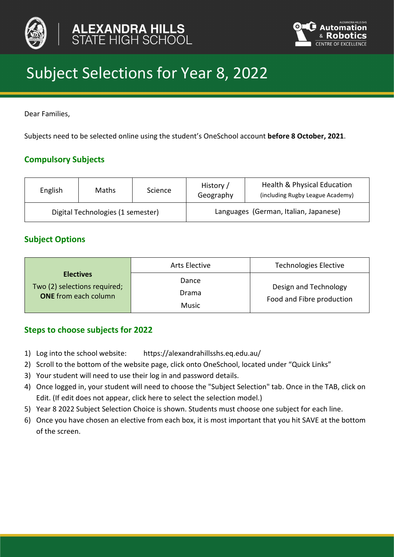



# Subject Selections for Year 8, 2022

Dear Families,

Subjects need to be selected online using the student's OneSchool account **before 8 October, 2021**.

# **Compulsory Subjects**

| English                           | Maths | Science | History /<br>Geography                | Health & Physical Education<br>(including Rugby League Academy) |
|-----------------------------------|-------|---------|---------------------------------------|-----------------------------------------------------------------|
| Digital Technologies (1 semester) |       |         | Languages (German, Italian, Japanese) |                                                                 |

# **Subject Options**

|                                                                                 | Arts Elective           | <b>Technologies Elective</b>                       |
|---------------------------------------------------------------------------------|-------------------------|----------------------------------------------------|
| <b>Electives</b><br>Two (2) selections required;<br><b>ONE</b> from each column | Dance<br>Drama<br>Music | Design and Technology<br>Food and Fibre production |

# **Steps to choose subjects for 2022**

- 1) Log into the school website: https://alexandrahillsshs.eq.edu.au/
- 2) Scroll to the bottom of the website page, click onto OneSchool, located under "Quick Links"
- 3) Your student will need to use their log in and password details.
- 4) Once logged in, your student will need to choose the "Subject Selection" tab. Once in the TAB, click on Edit. (If edit does not appear, click here to select the selection model.)
- 5) Year 8 2022 Subject Selection Choice is shown. Students must choose one subject for each line.
- 6) Once you have chosen an elective from each box, it is most important that you hit SAVE at the bottom of the screen.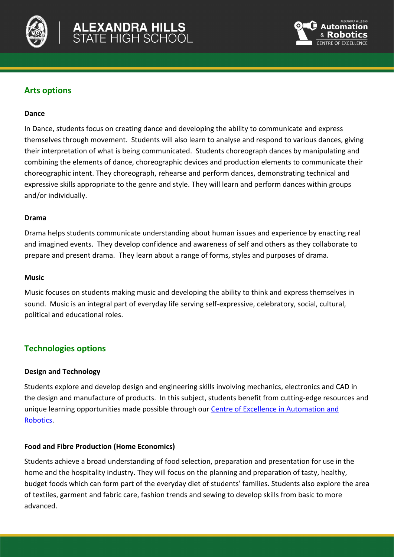



## **Arts options**

#### **Dance**

In Dance, students focus on creating dance and developing the ability to communicate and express themselves through movement. Students will also learn to analyse and respond to various dances, giving their interpretation of what is being communicated. Students choreograph dances by manipulating and combining the elements of dance, choreographic devices and production elements to communicate their choreographic intent. They choreograph, rehearse and perform dances, demonstrating technical and expressive skills appropriate to the genre and style. They will learn and perform dances within groups and/or individually.

#### **Drama**

Drama helps students communicate understanding about human issues and experience by enacting real and imagined events. They develop confidence and awareness of self and others as they collaborate to prepare and present drama. They learn about a range of forms, styles and purposes of drama.

#### **Music**

Music focuses on students making music and developing the ability to think and express themselves in sound. Music is an integral part of everyday life serving self-expressive, celebratory, social, cultural, political and educational roles.

## **Technologies options**

## **Design and Technology**

Students explore and develop design and engineering skills involving mechanics, electronics and CAD in the design and manufacture of products. In this subject, students benefit from cutting-edge resources and unique learning opportunities made possible through our [Centre of Excellence in Automation and](https://alexandrahillsshs.eq.edu.au/curriculum/robotics)  [Robotics.](https://alexandrahillsshs.eq.edu.au/curriculum/robotics)

## **Food and Fibre Production (Home Economics)**

Students achieve a broad understanding of food selection, preparation and presentation for use in the home and the hospitality industry. They will focus on the planning and preparation of tasty, healthy, budget foods which can form part of the everyday diet of students' families. Students also explore the area of textiles, garment and fabric care, fashion trends and sewing to develop skills from basic to more advanced.